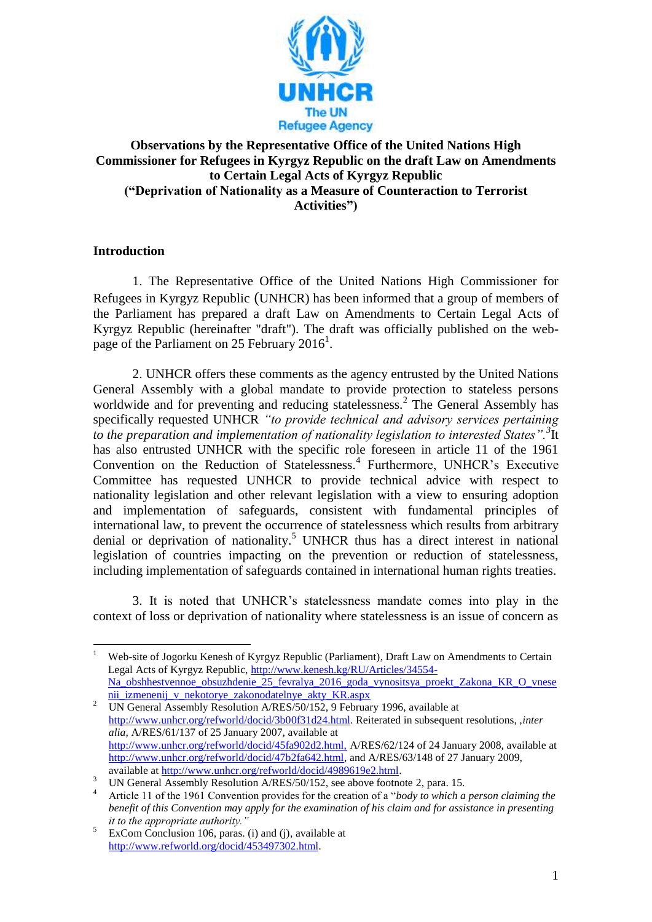

## **Observations by the Representative Office of the United Nations High Commissioner for Refugees in Kyrgyz Republic on the draft Law on Amendments to Certain Legal Acts of Kyrgyz Republic ("Deprivation of Nationality as a Measure of Counteraction to Terrorist Activities")**

## **Introduction**

1. The Representative Office of the United Nations High Commissioner for Refugees in Kyrgyz Republic (UNHCR) has been informed that a group of members of the Parliament has prepared a draft Law on Amendments to Certain Legal Acts of Kyrgyz Republic (hereinafter "draft"). The draft was officially published on the webpage of the Parliament on 25 February  $2016<sup>1</sup>$ .

2. UNHCR offers these comments as the agency entrusted by the United Nations General Assembly with a global mandate to provide protection to stateless persons worldwide and for preventing and reducing statelessness.<sup>2</sup> The General Assembly has specifically requested UNHCR *"to provide technical and advisory services pertaining to the preparation and implementation of nationality legislation to interested States".<sup>3</sup>* It has also entrusted UNHCR with the specific role foreseen in article 11 of the 1961 Convention on the Reduction of Statelessness.<sup>4</sup> Furthermore, UNHCR's Executive Committee has requested UNHCR to provide technical advice with respect to nationality legislation and other relevant legislation with a view to ensuring adoption and implementation of safeguards, consistent with fundamental principles of international law, to prevent the occurrence of statelessness which results from arbitrary denial or deprivation of nationality. <sup>5</sup> UNHCR thus has a direct interest in national legislation of countries impacting on the prevention or reduction of statelessness, including implementation of safeguards contained in international human rights treaties.

3. It is noted that UNHCR's statelessness mandate comes into play in the context of loss or deprivation of nationality where statelessness is an issue of concern as

<sup>2</sup> UN General Assembly Resolution A/RES/50/152, 9 February 1996, available at [http://www.unhcr.org/refworld/docid/3b00f31d24.html.](http://www.unhcr.org/refworld/docid/3b00f31d24.html) Reiterated in subsequent resolutions, ,*inter alia*, A/RES/61/137 of 25 January 2007, available at <http://www.unhcr.org/refworld/docid/45fa902d2.html,> A/RES/62/124 of 24 January 2008, available at [http://www.unhcr.org/refworld/docid/47b2fa642.html,](http://www.unhcr.org/refworld/docid/47b2fa642.html) and A/RES/63/148 of 27 January 2009, available at [http://www.unhcr.org/refworld/docid/4989619e2.html.](http://www.unhcr.org/refworld/docid/4989619e2.html)

 $\mathbf{1}$ <sup>1</sup> Web-site of Jogorku Kenesh of Kyrgyz Republic (Parliament), Draft Law on Amendments to Certain Legal Acts of Kyrgyz Republic, [http://www.kenesh.kg/RU/Articles/34554-](http://www.kenesh.kg/RU/Articles/34554-Na_obshhestvennoe_obsuzhdenie_25_fevralya_2016_goda_vynositsya_proekt_Zakona_KR_O_vnesenii_izmenenij_v_nekotorye_zakonodatelnye_akty_KR.aspx) [Na\\_obshhestvennoe\\_obsuzhdenie\\_25\\_fevralya\\_2016\\_goda\\_vynositsya\\_proekt\\_Zakona\\_KR\\_O\\_vnese](http://www.kenesh.kg/RU/Articles/34554-Na_obshhestvennoe_obsuzhdenie_25_fevralya_2016_goda_vynositsya_proekt_Zakona_KR_O_vnesenii_izmenenij_v_nekotorye_zakonodatelnye_akty_KR.aspx) [nii\\_izmenenij\\_v\\_nekotorye\\_zakonodatelnye\\_akty\\_KR.aspx](http://www.kenesh.kg/RU/Articles/34554-Na_obshhestvennoe_obsuzhdenie_25_fevralya_2016_goda_vynositsya_proekt_Zakona_KR_O_vnesenii_izmenenij_v_nekotorye_zakonodatelnye_akty_KR.aspx)

<sup>&</sup>lt;sup>3</sup> UN General Assembly Resolution A/RES/50/152, see above footnote 2, para. 15.

<sup>4</sup> Article 11 of the 1961 Convention provides for the creation of a "*body to which a person claiming the benefit of this Convention may apply for the examination of his claim and for assistance in presenting it to the appropriate authority."*

 $5\quad$  ExCom Conclusion 106, paras. (i) and (j), available at [http://www.refworld.org/docid/453497302.html.](http://www.refworld.org/docid/453497302.html)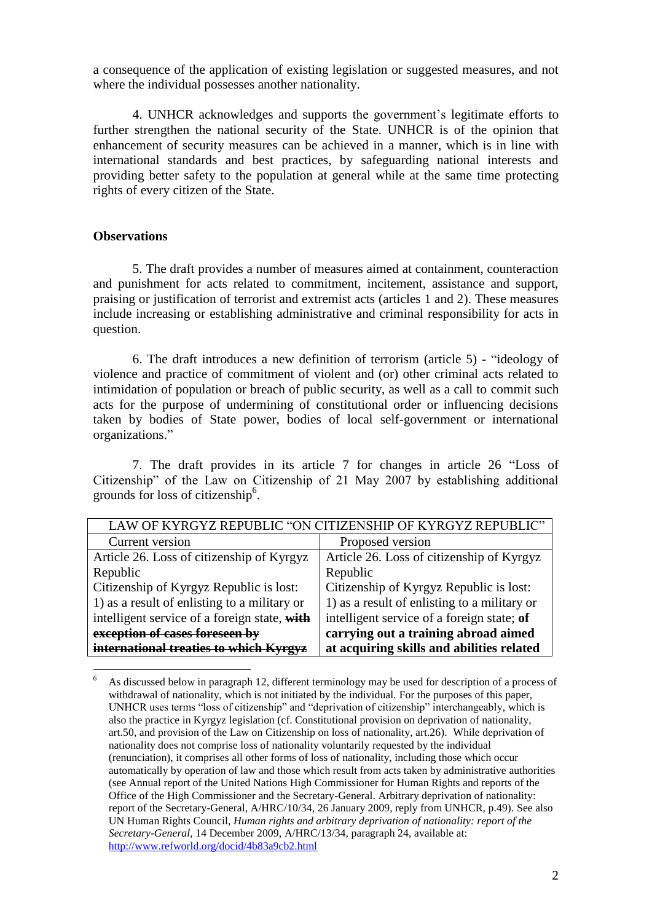a consequence of the application of existing legislation or suggested measures, and not where the individual possesses another nationality.

4. UNHCR acknowledges and supports the government's legitimate efforts to further strengthen the national security of the State. UNHCR is of the opinion that enhancement of security measures can be achieved in a manner, which is in line with international standards and best practices, by safeguarding national interests and providing better safety to the population at general while at the same time protecting rights of every citizen of the State.

## **Observations**

5. The draft provides a number of measures aimed at containment, counteraction and punishment for acts related to commitment, incitement, assistance and support, praising or justification of terrorist and extremist acts (articles 1 and 2). These measures include increasing or establishing administrative and criminal responsibility for acts in question.

6. The draft introduces a new definition of terrorism (article 5) - "ideology of violence and practice of commitment of violent and (or) other criminal acts related to intimidation of population or breach of public security, as well as a call to commit such acts for the purpose of undermining of constitutional order or influencing decisions taken by bodies of State power, bodies of local self-government or international organizations."

7. The draft provides in its article 7 for changes in article 26 "Loss of Citizenship" of the Law on Citizenship of 21 May 2007 by establishing additional grounds for loss of citizenship<sup>6</sup>.

| LAW OF KYRGYZ REPUBLIC "ON CITIZENSHIP OF KYRGYZ REPUBLIC" |                                              |
|------------------------------------------------------------|----------------------------------------------|
| Current version                                            | Proposed version                             |
| Article 26. Loss of citizenship of Kyrgyz                  | Article 26. Loss of citizenship of Kyrgyz    |
| Republic                                                   | Republic                                     |
| Citizenship of Kyrgyz Republic is lost:                    | Citizenship of Kyrgyz Republic is lost:      |
| 1) as a result of enlisting to a military or               | 1) as a result of enlisting to a military or |
| intelligent service of a foreign state, with               | intelligent service of a foreign state; of   |
| exception of cases foreseen by                             | carrying out a training abroad aimed         |
| international treaties to which Kyrgyz                     | at acquiring skills and abilities related    |

<sup>&</sup>lt;u>.</u> <sup>6</sup> As discussed below in paragraph 12, different terminology may be used for description of a process of withdrawal of nationality, which is not initiated by the individual. For the purposes of this paper, UNHCR uses terms "loss of citizenship" and "deprivation of citizenship" interchangeably, which is also the practice in Kyrgyz legislation (cf. Constitutional provision on deprivation of nationality, art.50, and provision of the Law on Citizenship on loss of nationality, art.26). While deprivation of nationality does not comprise loss of nationality voluntarily requested by the individual (renunciation), it comprises all other forms of loss of nationality, including those which occur automatically by operation of law and those which result from acts taken by administrative authorities (see Annual report of the United Nations High Commissioner for Human Rights and reports of the Office of the High Commissioner and the Secretary-General. Arbitrary deprivation of nationality: report of the Secretary-General, A/HRC/10/34, 26 January 2009, reply from UNHCR, p.49). See also UN Human Rights Council, *Human rights and arbitrary deprivation of nationality: report of the Secretary-General*, 14 December 2009, A/HRC/13/34, paragraph 24, available at: <http://www.refworld.org/docid/4b83a9cb2.html>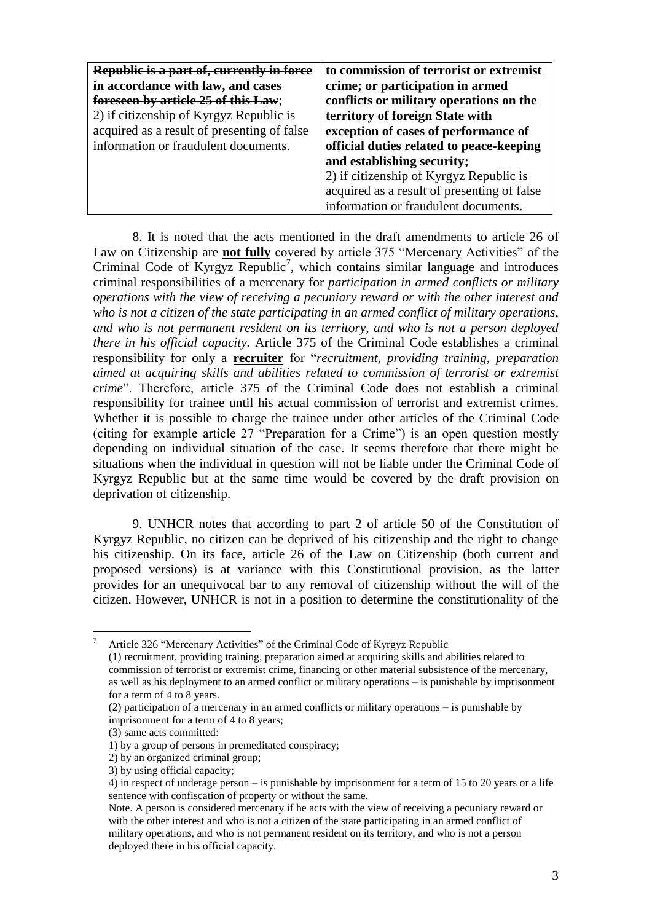| Republic is a part of, currently in force   | to commission of terrorist or extremist     |
|---------------------------------------------|---------------------------------------------|
| in accordance with law, and cases           | crime; or participation in armed            |
| foreseen by article 25 of this Law:         | conflicts or military operations on the     |
| 2) if citizenship of Kyrgyz Republic is     | territory of foreign State with             |
| acquired as a result of presenting of false | exception of cases of performance of        |
| information or fraudulent documents.        | official duties related to peace-keeping    |
|                                             | and establishing security;                  |
|                                             | 2) if citizenship of Kyrgyz Republic is     |
|                                             | acquired as a result of presenting of false |
|                                             | information or fraudulent documents.        |

8. It is noted that the acts mentioned in the draft amendments to article 26 of Law on Citizenship are **not fully** covered by article 375 "Mercenary Activities" of the Criminal Code of Kyrgyz Republic<sup>7</sup>, which contains similar language and introduces criminal responsibilities of a mercenary for *participation in armed conflicts or military operations with the view of receiving a pecuniary reward or with the other interest and who is not a citizen of the state participating in an armed conflict of military operations, and who is not permanent resident on its territory, and who is not a person deployed there in his official capacity.* Article 375 of the Criminal Code establishes a criminal responsibility for only a **recruiter** for "*recruitment, providing training, preparation aimed at acquiring skills and abilities related to commission of terrorist or extremist crime*". Therefore, article 375 of the Criminal Code does not establish a criminal responsibility for trainee until his actual commission of terrorist and extremist crimes. Whether it is possible to charge the trainee under other articles of the Criminal Code (citing for example article 27 "Preparation for a Crime") is an open question mostly depending on individual situation of the case. It seems therefore that there might be situations when the individual in question will not be liable under the Criminal Code of Kyrgyz Republic but at the same time would be covered by the draft provision on deprivation of citizenship.

9. UNHCR notes that according to part 2 of article 50 of the Constitution of Kyrgyz Republic, no citizen can be deprived of his citizenship and the right to change his citizenship. On its face, article 26 of the Law on Citizenship (both current and proposed versions) is at variance with this Constitutional provision, as the latter provides for an unequivocal bar to any removal of citizenship without the will of the citizen. However, UNHCR is not in a position to determine the constitutionality of the

<u>.</u>

<sup>7</sup> Article 326 "Mercenary Activities" of the Criminal Code of Kyrgyz Republic (1) recruitment, providing training, preparation aimed at acquiring skills and abilities related to commission of terrorist or extremist crime, financing or other material subsistence of the mercenary, as well as his deployment to an armed conflict or military operations – is punishable by imprisonment for a term of 4 to 8 years.

<sup>(2)</sup> participation of a mercenary in an armed conflicts or military operations – is punishable by imprisonment for a term of 4 to 8 years;

<sup>(3)</sup> same acts committed:

<sup>1)</sup> by a group of persons in premeditated conspiracy;

<sup>2)</sup> by an organized criminal group;

<sup>3)</sup> by using official capacity;

<sup>4)</sup> in respect of underage person – is punishable by imprisonment for a term of 15 to 20 years or a life sentence with confiscation of property or without the same.

Note. A person is considered mercenary if he acts with the view of receiving a pecuniary reward or with the other interest and who is not a citizen of the state participating in an armed conflict of military operations, and who is not permanent resident on its territory, and who is not a person deployed there in his official capacity.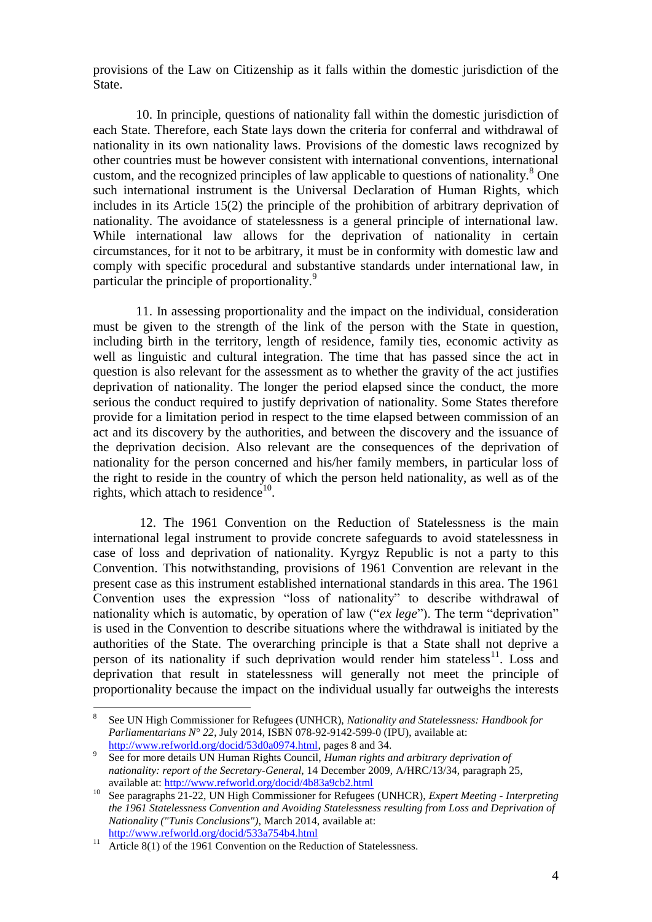provisions of the Law on Citizenship as it falls within the domestic jurisdiction of the State.

10. In principle, questions of nationality fall within the domestic jurisdiction of each State. Therefore, each State lays down the criteria for conferral and withdrawal of nationality in its own nationality laws. Provisions of the domestic laws recognized by other countries must be however consistent with international conventions, international custom, and the recognized principles of law applicable to questions of nationality.<sup>8</sup> One such international instrument is the Universal Declaration of Human Rights, which includes in its Article 15(2) the principle of the prohibition of arbitrary deprivation of nationality. The avoidance of statelessness is a general principle of international law. While international law allows for the deprivation of nationality in certain circumstances, for it not to be arbitrary, it must be in conformity with domestic law and comply with specific procedural and substantive standards under international law, in particular the principle of proportionality.<sup>9</sup>

11. In assessing proportionality and the impact on the individual, consideration must be given to the strength of the link of the person with the State in question, including birth in the territory, length of residence, family ties, economic activity as well as linguistic and cultural integration. The time that has passed since the act in question is also relevant for the assessment as to whether the gravity of the act justifies deprivation of nationality. The longer the period elapsed since the conduct, the more serious the conduct required to justify deprivation of nationality. Some States therefore provide for a limitation period in respect to the time elapsed between commission of an act and its discovery by the authorities, and between the discovery and the issuance of the deprivation decision. Also relevant are the consequences of the deprivation of nationality for the person concerned and his/her family members, in particular loss of the right to reside in the country of which the person held nationality, as well as of the rights, which attach to residence<sup>10</sup>.

12. The 1961 Convention on the Reduction of Statelessness is the main international legal instrument to provide concrete safeguards to avoid statelessness in case of loss and deprivation of nationality. Kyrgyz Republic is not a party to this Convention. This notwithstanding, provisions of 1961 Convention are relevant in the present case as this instrument established international standards in this area. The 1961 Convention uses the expression "loss of nationality" to describe withdrawal of nationality which is automatic, by operation of law ("*ex lege*"). The term "deprivation" is used in the Convention to describe situations where the withdrawal is initiated by the authorities of the State. The overarching principle is that a State shall not deprive a person of its nationality if such deprivation would render him stateless<sup>11</sup>. Loss and deprivation that result in statelessness will generally not meet the principle of proportionality because the impact on the individual usually far outweighs the interests

<sup>&</sup>lt;u>.</u> 8 See UN High Commissioner for Refugees (UNHCR), *Nationality and Statelessness: Handbook for Parliamentarians N° 22*, July 2014, ISBN 078-92-9142-599-0 (IPU), available at: [http://www.refworld.org/docid/53d0a0974.html,](http://www.refworld.org/docid/53d0a0974.html) pages 8 and 34.

<sup>9</sup> See for more details UN Human Rights Council, *Human rights and arbitrary deprivation of nationality: report of the Secretary-General*, 14 December 2009, A/HRC/13/34, paragraph 25, available at:<http://www.refworld.org/docid/4b83a9cb2.html>

<sup>10</sup> See paragraphs 21-22, UN High Commissioner for Refugees (UNHCR), *Expert Meeting - Interpreting the 1961 Statelessness Convention and Avoiding Statelessness resulting from Loss and Deprivation of Nationality ("Tunis Conclusions")*, March 2014, available at: <http://www.refworld.org/docid/533a754b4.html>

<sup>&</sup>lt;sup>11</sup> Article 8(1) of the 1961 Convention on the Reduction of Statelessness.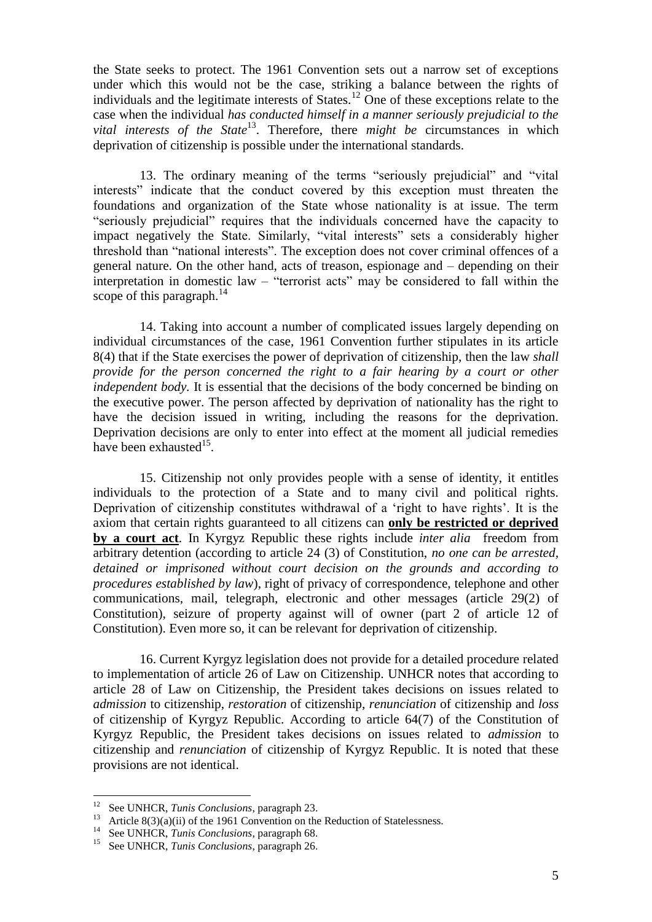the State seeks to protect. The 1961 Convention sets out a narrow set of exceptions under which this would not be the case, striking a balance between the rights of individuals and the legitimate interests of States.<sup>12</sup> One of these exceptions relate to the case when the individual *has conducted himself in a manner seriously prejudicial to the*  vital interests of the State<sup>13</sup>. Therefore, there *might be* circumstances in which deprivation of citizenship is possible under the international standards.

13. The ordinary meaning of the terms "seriously prejudicial" and "vital interests" indicate that the conduct covered by this exception must threaten the foundations and organization of the State whose nationality is at issue. The term "seriously prejudicial" requires that the individuals concerned have the capacity to impact negatively the State. Similarly, "vital interests" sets a considerably higher threshold than "national interests". The exception does not cover criminal offences of a general nature. On the other hand, acts of treason, espionage and – depending on their interpretation in domestic law – "terrorist acts" may be considered to fall within the scope of this paragraph. $14$ 

14. Taking into account a number of complicated issues largely depending on individual circumstances of the case, 1961 Convention further stipulates in its article 8(4) that if the State exercises the power of deprivation of citizenship, then the law *shall provide for the person concerned the right to a fair hearing by a court or other independent body*. It is essential that the decisions of the body concerned be binding on the executive power. The person affected by deprivation of nationality has the right to have the decision issued in writing, including the reasons for the deprivation. Deprivation decisions are only to enter into effect at the moment all judicial remedies have been exhausted<sup>15</sup>.

15. Citizenship not only provides people with a sense of identity, it entitles individuals to the protection of a State and to many civil and political rights. Deprivation of citizenship constitutes withdrawal of a 'right to have rights'. It is the axiom that certain rights guaranteed to all citizens can **only be restricted or deprived by a court act**. In Kyrgyz Republic these rights include *inter alia* freedom from arbitrary detention (according to article 24 (3) of Constitution, *no one can be arrested, detained or imprisoned without court decision on the grounds and according to procedures established by law*), right of privacy of correspondence, telephone and other communications, mail, telegraph, electronic and other messages (article 29(2) of Constitution), seizure of property against will of owner (part 2 of article 12 of Constitution). Even more so, it can be relevant for deprivation of citizenship.

16. Current Kyrgyz legislation does not provide for a detailed procedure related to implementation of article 26 of Law on Citizenship. UNHCR notes that according to article 28 of Law on Citizenship, the President takes decisions on issues related to *admission* to citizenship, *restoration* of citizenship, *renunciation* of citizenship and *loss* of citizenship of Kyrgyz Republic. According to article 64(7) of the Constitution of Kyrgyz Republic, the President takes decisions on issues related to *admission* to citizenship and *renunciation* of citizenship of Kyrgyz Republic. It is noted that these provisions are not identical.

<u>.</u>

<sup>12</sup> See UNHCR, *Tunis Conclusions*, paragraph 23.

<sup>&</sup>lt;sup>13</sup> Article 8(3)(a)(ii) of the 1961 Convention on the Reduction of Statelessness.

<sup>14</sup> See UNHCR, *Tunis Conclusions*, paragraph 68.

<sup>15</sup> See UNHCR, *Tunis Conclusions*, paragraph 26.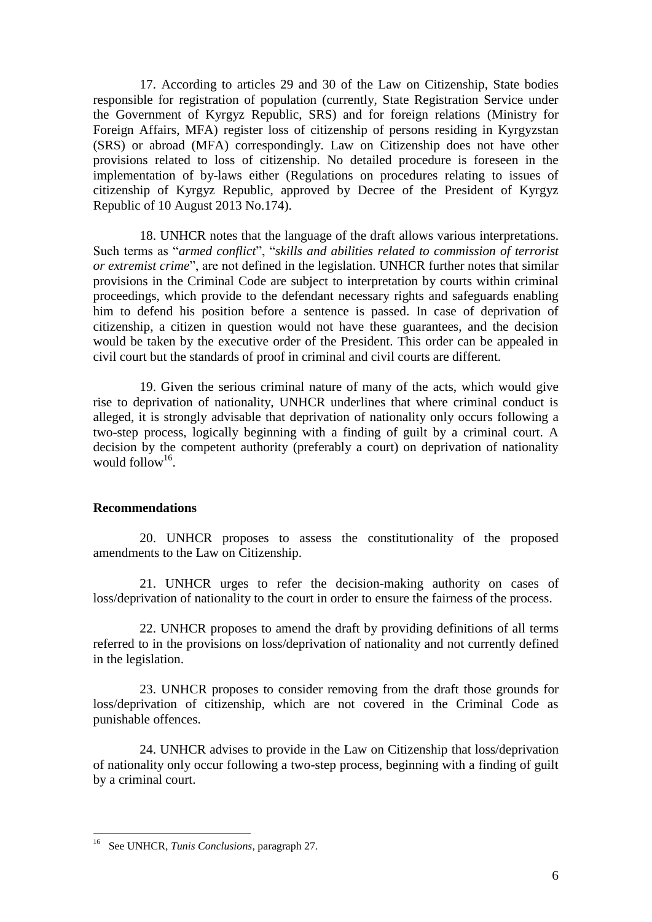17. According to articles 29 and 30 of the Law on Citizenship, State bodies responsible for registration of population (currently, State Registration Service under the Government of Kyrgyz Republic, SRS) and for foreign relations (Ministry for Foreign Affairs, MFA) register loss of citizenship of persons residing in Kyrgyzstan (SRS) or abroad (MFA) correspondingly. Law on Citizenship does not have other provisions related to loss of citizenship. No detailed procedure is foreseen in the implementation of by-laws either (Regulations on procedures relating to issues of citizenship of Kyrgyz Republic, approved by Decree of the President of Kyrgyz Republic of 10 August 2013 No.174).

18. UNHCR notes that the language of the draft allows various interpretations. Such terms as "*armed conflict*", "*skills and abilities related to commission of terrorist or extremist crime*", are not defined in the legislation. UNHCR further notes that similar provisions in the Criminal Code are subject to interpretation by courts within criminal proceedings, which provide to the defendant necessary rights and safeguards enabling him to defend his position before a sentence is passed. In case of deprivation of citizenship, a citizen in question would not have these guarantees, and the decision would be taken by the executive order of the President. This order can be appealed in civil court but the standards of proof in criminal and civil courts are different.

19. Given the serious criminal nature of many of the acts, which would give rise to deprivation of nationality, UNHCR underlines that where criminal conduct is alleged, it is strongly advisable that deprivation of nationality only occurs following a two-step process, logically beginning with a finding of guilt by a criminal court. A decision by the competent authority (preferably a court) on deprivation of nationality would follow<sup>16</sup>.

## **Recommendations**

20. UNHCR proposes to assess the constitutionality of the proposed amendments to the Law on Citizenship.

21. UNHCR urges to refer the decision-making authority on cases of loss/deprivation of nationality to the court in order to ensure the fairness of the process.

22. UNHCR proposes to amend the draft by providing definitions of all terms referred to in the provisions on loss/deprivation of nationality and not currently defined in the legislation.

23. UNHCR proposes to consider removing from the draft those grounds for loss/deprivation of citizenship, which are not covered in the Criminal Code as punishable offences.

24. UNHCR advises to provide in the Law on Citizenship that loss/deprivation of nationality only occur following a two-step process, beginning with a finding of guilt by a criminal court.

1

<sup>16</sup> See UNHCR, *Tunis Conclusions*, paragraph 27.